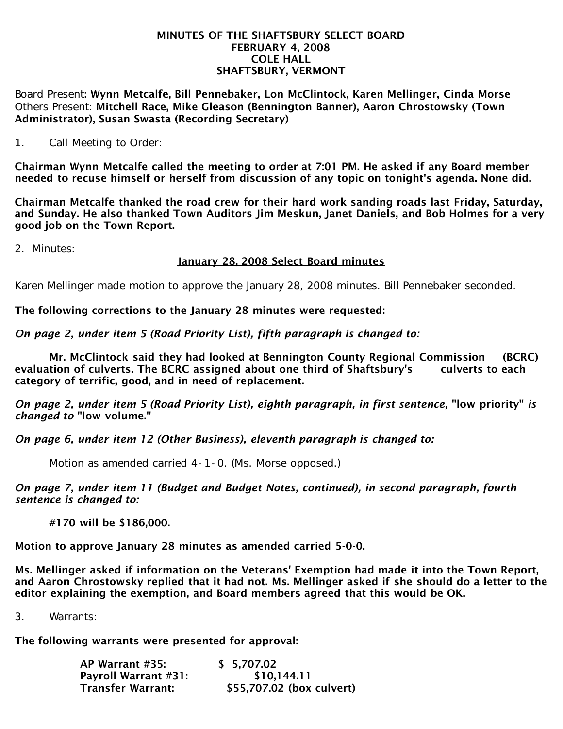#### MINUTES OF THE SHAFTSBURY SELECT BOARD FEBRUARY 4, 2008 COLE HALL SHAFTSBURY, VERMONT

Board Present: Wynn Metcalfe, Bill Pennebaker, Lon McClintock, Karen Mellinger, Cinda Morse Others Present: Mitchell Race, Mike Gleason (Bennington Banner), Aaron Chrostowsky (Town Administrator), Susan Swasta (Recording Secretary)

1. Call Meeting to Order:

Chairman Wynn Metcalfe called the meeting to order at 7:01 PM. He asked if any Board member needed to recuse himself or herself from discussion of any topic on tonight's agenda. None did.

Chairman Metcalfe thanked the road crew for their hard work sanding roads last Friday, Saturday, and Sunday. He also thanked Town Auditors Jim Meskun, Janet Daniels, and Bob Holmes for a very good job on the Town Report.

2. Minutes:

# January 28, 2008 Select Board minutes

Karen Mellinger made motion to approve the January 28, 2008 minutes. Bill Pennebaker seconded.

The following corrections to the January 28 minutes were requested:

*On page 2, under item 5 (Road Priority List), fifth paragraph is changed to:*

 Mr. McClintock said they had looked at Bennington County Regional Commission (BCRC) evaluation of culverts. The BCRC assigned about one third of Shaftsbury's culverts to each category of terrific, good, and in need of replacement.

*On page 2, under item 5 (Road Priority List), eighth paragraph, in first sentence,* "low priority" *is changed to* "low volume."

*On page 6, under item 12 (Other Business), eleventh paragraph is changed to:*

Motion as amended carried 4-1-0. (Ms. Morse opposed.)

*On page 7, under item 11 (Budget and Budget Notes, continued), in second paragraph, fourth sentence is changed to:*

#170 will be \$186,000.

Motion to approve January 28 minutes as amended carried 5-0-0.

Ms. Mellinger asked if information on the Veterans' Exemption had made it into the Town Report, and Aaron Chrostowsky replied that it had not. Ms. Mellinger asked if she should do a letter to the editor explaining the exemption, and Board members agreed that this would be OK.

3. Warrants:

The following warrants were presented for approval:

| AP Warrant #35:             | \$5,707.02                |
|-----------------------------|---------------------------|
| <b>Payroll Warrant #31:</b> | \$10,144.11               |
| Transfer Warrant:           | \$55,707.02 (box culvert) |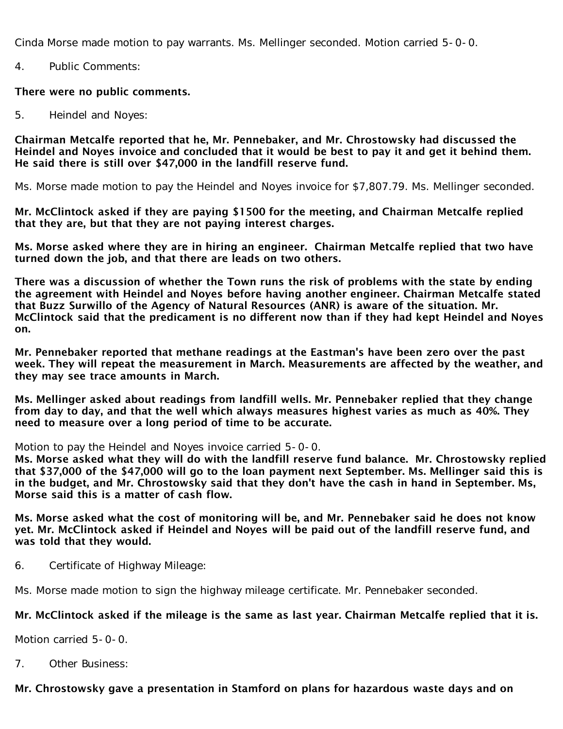Cinda Morse made motion to pay warrants. Ms. Mellinger seconded. Motion carried 5-0-0.

4. Public Comments:

#### There were no public comments.

5. Heindel and Noyes:

Chairman Metcalfe reported that he, Mr. Pennebaker, and Mr. Chrostowsky had discussed the Heindel and Noyes invoice and concluded that it would be best to pay it and get it behind them. He said there is still over \$47,000 in the landfill reserve fund.

Ms. Morse made motion to pay the Heindel and Noyes invoice for \$7,807.79. Ms. Mellinger seconded.

Mr. McClintock asked if they are paying \$1500 for the meeting, and Chairman Metcalfe replied that they are, but that they are not paying interest charges.

Ms. Morse asked where they are in hiring an engineer. Chairman Metcalfe replied that two have turned down the job, and that there are leads on two others.

There was a discussion of whether the Town runs the risk of problems with the state by ending the agreement with Heindel and Noyes before having another engineer. Chairman Metcalfe stated that Buzz Surwillo of the Agency of Natural Resources (ANR) is aware of the situation. Mr. McClintock said that the predicament is no different now than if they had kept Heindel and Noyes on.

Mr. Pennebaker reported that methane readings at the Eastman's have been zero over the past week. They will repeat the measurement in March. Measurements are affected by the weather, and they may see trace amounts in March.

Ms. Mellinger asked about readings from landfill wells. Mr. Pennebaker replied that they change from day to day, and that the well which always measures highest varies as much as 40%. They need to measure over a long period of time to be accurate.

Motion to pay the Heindel and Noyes invoice carried 5-0-0.

Ms. Morse asked what they will do with the landfill reserve fund balance. Mr. Chrostowsky replied that \$37,000 of the \$47,000 will go to the loan payment next September. Ms. Mellinger said this is in the budget, and Mr. Chrostowsky said that they don't have the cash in hand in September. Ms, Morse said this is a matter of cash flow.

Ms. Morse asked what the cost of monitoring will be, and Mr. Pennebaker said he does not know yet. Mr. McClintock asked if Heindel and Noyes will be paid out of the landfill reserve fund, and was told that they would.

6. Certificate of Highway Mileage:

Ms. Morse made motion to sign the highway mileage certificate. Mr. Pennebaker seconded.

### Mr. McClintock asked if the mileage is the same as last year. Chairman Metcalfe replied that it is.

Motion carried 5-0-0.

7. Other Business:

### Mr. Chrostowsky gave a presentation in Stamford on plans for hazardous waste days and on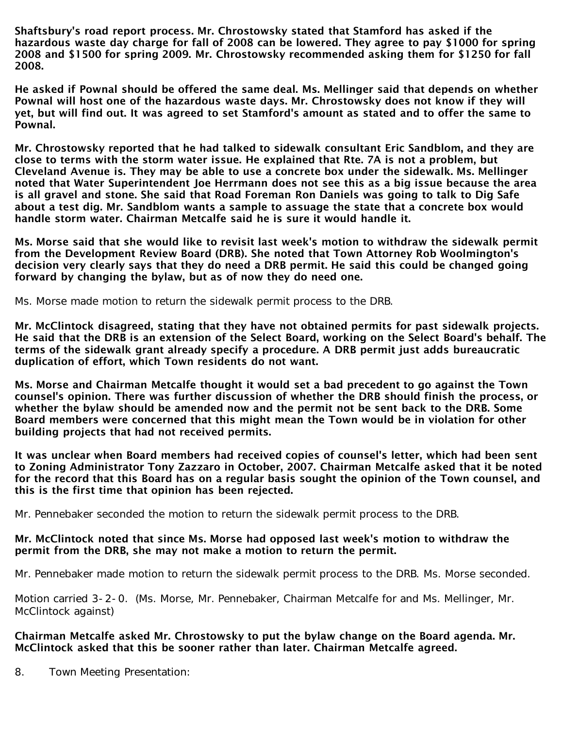Shaftsbury's road report process. Mr. Chrostowsky stated that Stamford has asked if the hazardous waste day charge for fall of 2008 can be lowered. They agree to pay \$1000 for spring 2008 and \$1500 for spring 2009. Mr. Chrostowsky recommended asking them for \$1250 for fall 2008.

He asked if Pownal should be offered the same deal. Ms. Mellinger said that depends on whether Pownal will host one of the hazardous waste days. Mr. Chrostowsky does not know if they will yet, but will find out. It was agreed to set Stamford's amount as stated and to offer the same to Pownal.

Mr. Chrostowsky reported that he had talked to sidewalk consultant Eric Sandblom, and they are close to terms with the storm water issue. He explained that Rte. 7A is not a problem, but Cleveland Avenue is. They may be able to use a concrete box under the sidewalk. Ms. Mellinger noted that Water Superintendent Joe Herrmann does not see this as a big issue because the area is all gravel and stone. She said that Road Foreman Ron Daniels was going to talk to Dig Safe about a test dig. Mr. Sandblom wants a sample to assuage the state that a concrete box would handle storm water. Chairman Metcalfe said he is sure it would handle it.

Ms. Morse said that she would like to revisit last week's motion to withdraw the sidewalk permit from the Development Review Board (DRB). She noted that Town Attorney Rob Woolmington's decision very clearly says that they do need a DRB permit. He said this could be changed going forward by changing the bylaw, but as of now they do need one.

Ms. Morse made motion to return the sidewalk permit process to the DRB.

Mr. McClintock disagreed, stating that they have not obtained permits for past sidewalk projects. He said that the DRB is an extension of the Select Board, working on the Select Board's behalf. The terms of the sidewalk grant already specify a procedure. A DRB permit just adds bureaucratic duplication of effort, which Town residents do not want.

Ms. Morse and Chairman Metcalfe thought it would set a bad precedent to go against the Town counsel's opinion. There was further discussion of whether the DRB should finish the process, or whether the bylaw should be amended now and the permit not be sent back to the DRB. Some Board members were concerned that this might mean the Town would be in violation for other building projects that had not received permits.

It was unclear when Board members had received copies of counsel's letter, which had been sent to Zoning Administrator Tony Zazzaro in October, 2007. Chairman Metcalfe asked that it be noted for the record that this Board has on a regular basis sought the opinion of the Town counsel, and this is the first time that opinion has been rejected.

Mr. Pennebaker seconded the motion to return the sidewalk permit process to the DRB.

### Mr. McClintock noted that since Ms. Morse had opposed last week's motion to withdraw the permit from the DRB, she may not make a motion to return the permit.

Mr. Pennebaker made motion to return the sidewalk permit process to the DRB. Ms. Morse seconded.

Motion carried 3-2-0. (Ms. Morse, Mr. Pennebaker, Chairman Metcalfe for and Ms. Mellinger, Mr. McClintock against)

# Chairman Metcalfe asked Mr. Chrostowsky to put the bylaw change on the Board agenda. Mr. McClintock asked that this be sooner rather than later. Chairman Metcalfe agreed.

8. Town Meeting Presentation: